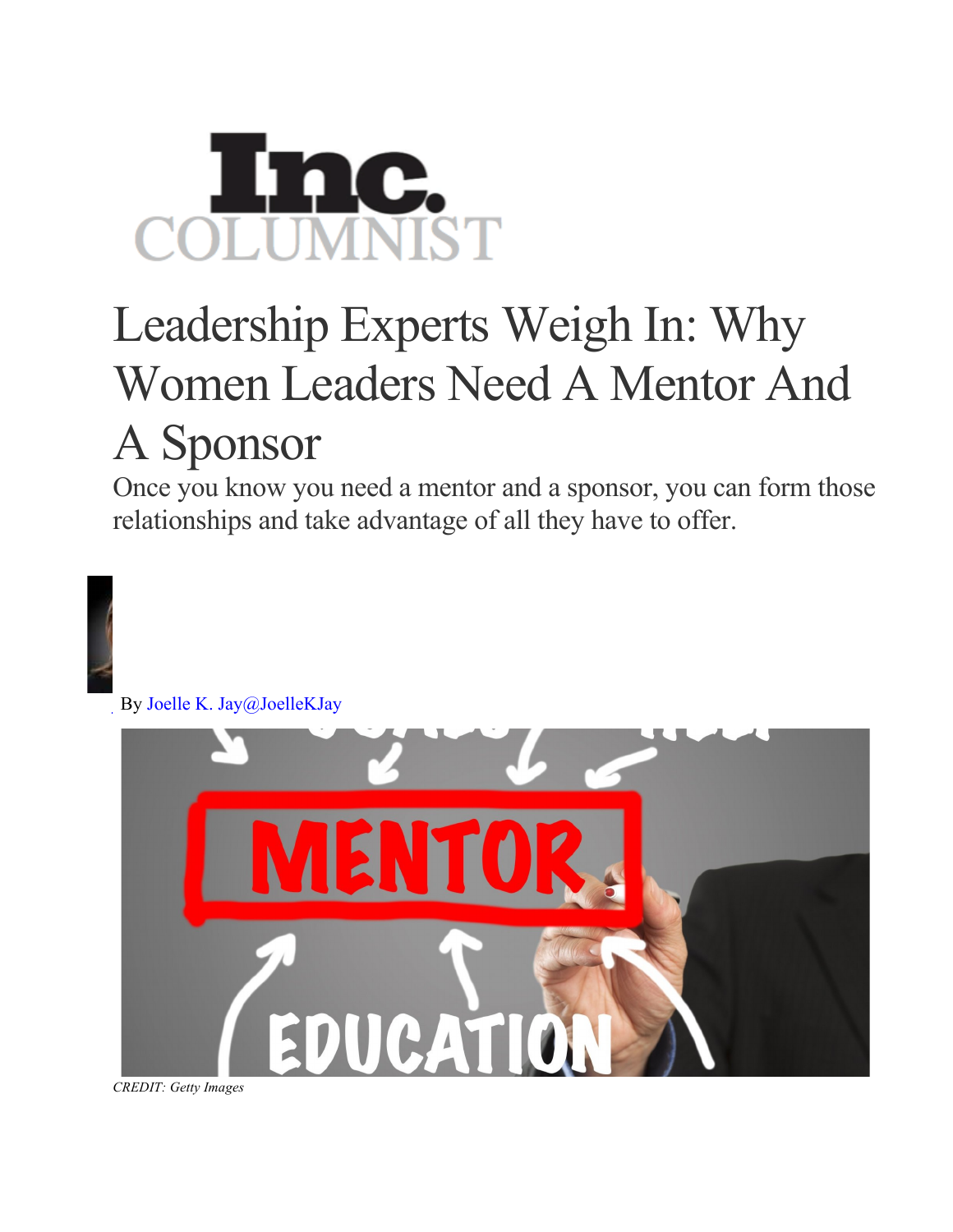## Leadership Experts Weigh In: Why Women Leaders Need A Mentor And A Sponsor

Once you know you need a mentor and a sponsor, you can form those relationships and take advantage of all they have to offer.



*CREDIT: Getty Images*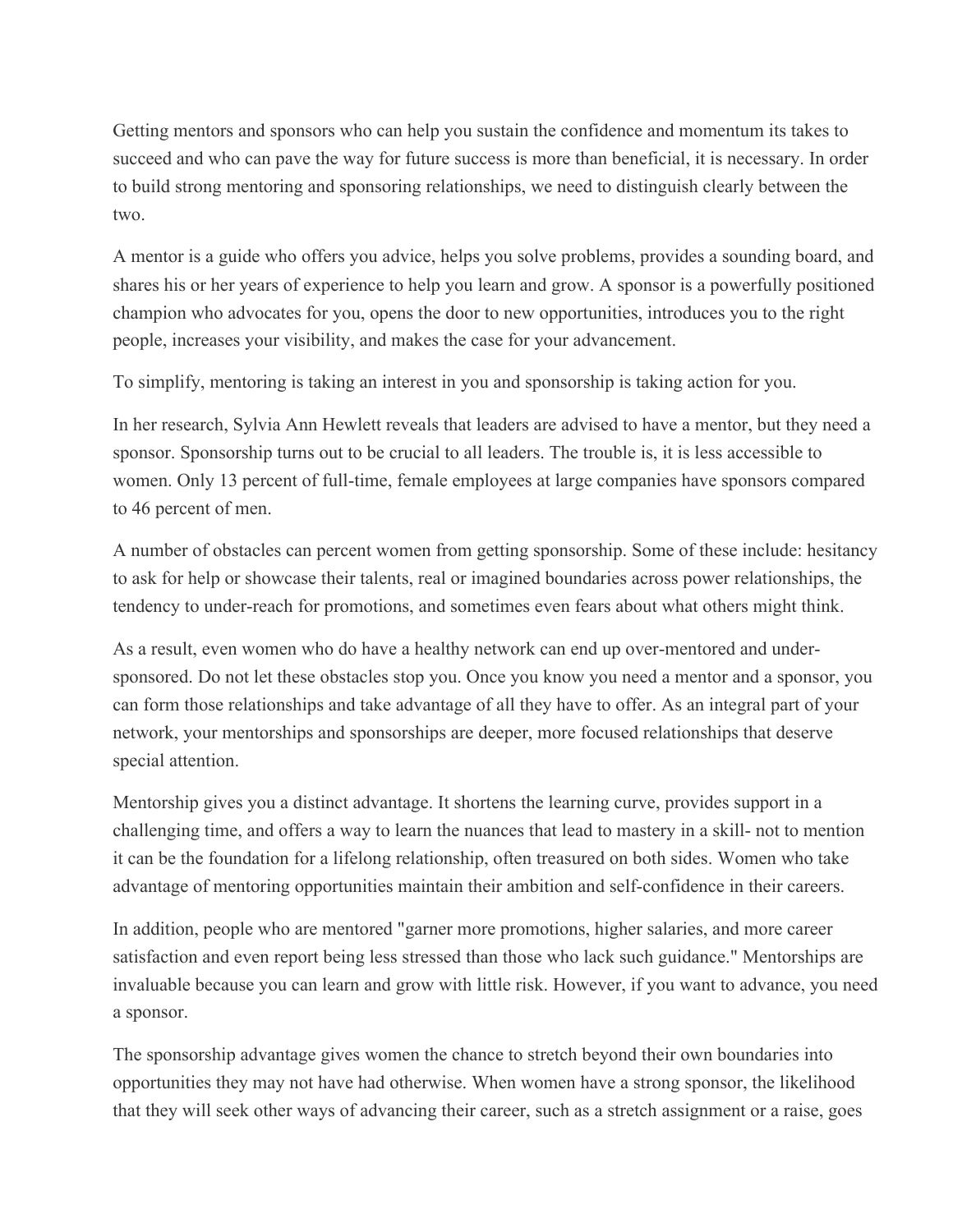Getting mentors and sponsors who can help you sustain the confidence and momentum its takes to succeed and who can pave the way for future success is more than beneficial, it is necessary. In order to build strong mentoring and sponsoring relationships, we need to distinguish clearly between the two.

A mentor is a guide who offers you advice, helps you solve problems, provides a sounding board, and shares his or her years of experience to help you learn and grow. A sponsor is a powerfully positioned champion who advocates for you, opens the door to new opportunities, introduces you to the right people, increases your visibility, and makes the case for your advancement.

To simplify, mentoring is taking an interest in you and sponsorship is taking action for you.

In her research, Sylvia Ann Hewlett reveals that leaders are advised to have a mentor, but they need a sponsor. Sponsorship turns out to be crucial to all leaders. The trouble is, it is less accessible to women. Only 13 percent of full-time, female employees at large companies have sponsors compared to 46 percent of men.

A number of obstacles can percent women from getting sponsorship. Some of these include: hesitancy to ask for help or showcase their talents, real or imagined boundaries across power relationships, the tendency to under-reach for promotions, and sometimes even fears about what others might think.

As a result, even women who do have a healthy network can end up over-mentored and undersponsored. Do not let these obstacles stop you. Once you know you need a mentor and a sponsor, you can form those relationships and take advantage of all they have to offer. As an integral part of your network, your mentorships and sponsorships are deeper, more focused relationships that deserve special attention.

Mentorship gives you a distinct advantage. It shortens the learning curve, provides support in a challenging time, and offers a way to learn the nuances that lead to mastery in a skill- not to mention it can be the foundation for a lifelong relationship, often treasured on both sides. Women who take advantage of mentoring opportunities maintain their ambition and self-confidence in their careers.

In addition, people who are mentored "garner more promotions, higher salaries, and more career satisfaction and even report being less stressed than those who lack such guidance." Mentorships are invaluable because you can learn and grow with little risk. However, if you want to advance, you need a sponsor.

The sponsorship advantage gives women the chance to stretch beyond their own boundaries into opportunities they may not have had otherwise. When women have a strong sponsor, the likelihood that they will seek other ways of advancing their career, such as a stretch assignment or a raise, goes